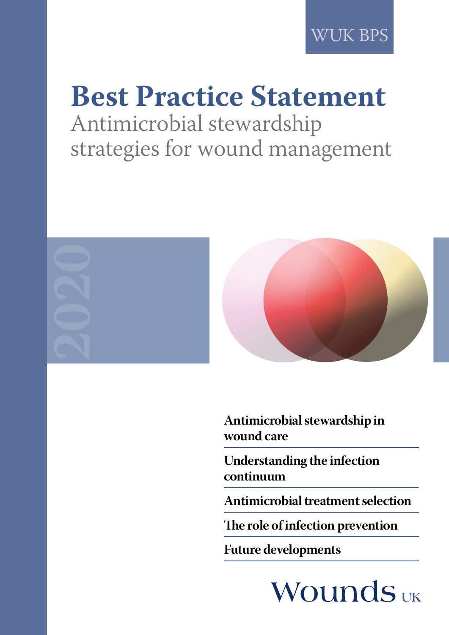# **Best Practice Statement** Antimicrobial stewardship

strategies for wound management



**Antimicrobial stewardship in wound care**

**Understanding the infection continuum**

**Antimicrobial treatment selection** 

**The role of infection prevention**

**Future developments**

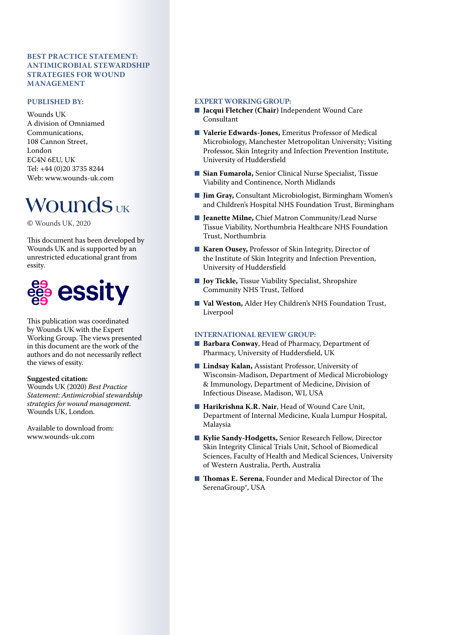#### **BEST PRACTICE STATEMENT: ANTIMICROBIAL STEWARDSHIP STRATEGIES FOR WOUND MANAGEMENT**

#### **PUBLISHED BY:**

Wounds UK A division of Omniamed Communications, 108 Cannon Street, London EC4N 6EU, UK Tel: +44 (0)20 3735 8244 Web: www.wounds-uk.com

## **Wounds** UK

© Wounds UK, 2020

This document has been developed by Wounds UK and is supported by an unrestricted educational grant from essity.



This publication was coordinated by Wounds UK with the Expert Working Group. The views presented in this document are the work of the authors and do not necessarily reflect the views of essity.

#### **Suggested citation:**

Wounds UK (2020) *Best Practice Statement*: *Antimicrobial stewardship strategies for wound management*. Wounds UK, London.

Available to download from: www.wounds-uk.com

#### **EXPERT WORKING GROUP:**

- **Jacqui Fletcher (Chair)** Independent Wound Care Consultant
- **Valerie Edwards-Jones, Emeritus Professor of Medical** Microbiology, Manchester Metropolitan University; Visiting Professor, Skin Integrity and Infection Prevention Institute, University of Huddersfield
- Sian Fumarola, Senior Clinical Nurse Specialist, Tissue Viability and Continence, North Midlands
- **Jim Gray, Consultant Microbiologist, Birmingham Women's** and Children's Hospital NHS Foundation Trust, Birmingham
- **Jeanette Milne, Chief Matron Community/Lead Nurse** Tissue Viability, Northumbria Healthcare NHS Foundation Trust, Northumbria
- **Karen Ousey, Professor of Skin Integrity, Director of** the Institute of Skin Integrity and Infection Prevention, University of Huddersfield
- **Joy Tickle**, Tissue Viability Specialist, Shropshire Community NHS Trust, Telford
- **Val Weston, Alder Hey Children's NHS Foundation Trust,** Liverpool

#### **INTERNATIONAL REVIEW GROUP:**

- **Barbara Conway**, Head of Pharmacy, Department of Pharmacy, University of Huddersfield, UK
- **Lindsay Kalan, Assistant Professor, University of** Wisconsin-Madison, Department of Medical Microbiology & Immunology, Department of Medicine, Division of Infectious Disease, Madison, WI, USA
- **Harikrishna K.R. Nair**, Head of Wound Care Unit, Department of Internal Medicine, Kuala Lumpur Hospital, Malaysia
- **Kylie Sandy-Hodgetts, Senior Research Fellow, Director** Skin Integrity Clinical Trials Unit, School of Biomedical Sciences, Faculty of Health and Medical Sciences, University of Western Australia, Perth, Australia
- **Thomas E. Serena**, Founder and Medical Director of The SerenaGroup®, USA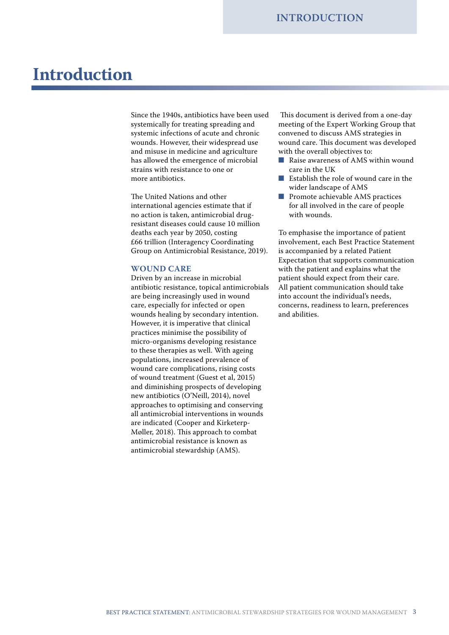## **Introduction**

Since the 1940s, antibiotics have been used systemically for treating spreading and systemic infections of acute and chronic wounds. However, their widespread use and misuse in medicine and agriculture has allowed the emergence of microbial strains with resistance to one or more antibiotics.

The United Nations and other international agencies estimate that if no action is taken, antimicrobial drugresistant diseases could cause 10 million deaths each year by 2050, costing £66 trillion (Interagency Coordinating Group on Antimicrobial Resistance, 2019).

#### **WOUND CARE**

Driven by an increase in microbial antibiotic resistance, topical antimicrobials are being increasingly used in wound care, especially for infected or open wounds healing by secondary intention. However, it is imperative that clinical practices minimise the possibility of micro-organisms developing resistance to these therapies as well. With ageing populations, increased prevalence of wound care complications, rising costs of wound treatment (Guest et al, 2015) and diminishing prospects of developing new antibiotics (O'Neill, 2014), novel approaches to optimising and conserving all antimicrobial interventions in wounds are indicated (Cooper and Kirketerp-Møller, 2018). This approach to combat antimicrobial resistance is known as antimicrobial stewardship (AMS).

 This document is derived from a one-day meeting of the Expert Working Group that convened to discuss AMS strategies in wound care. This document was developed with the overall objectives to:

- Raise awareness of AMS within wound care in the UK
- Establish the role of wound care in the wider landscape of AMS
- Promote achievable AMS practices for all involved in the care of people with wounds.

To emphasise the importance of patient involvement, each Best Practice Statement is accompanied by a related Patient Expectation that supports communication with the patient and explains what the patient should expect from their care. All patient communication should take into account the individual's needs, concerns, readiness to learn, preferences and abilities.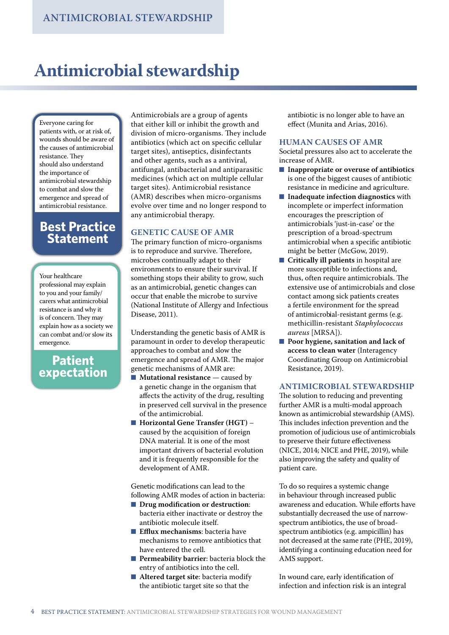## **Antimicrobial stewardship**

Everyone caring for patients with, or at risk of, wounds should be aware of the causes of antimicrobial resistance. They should also understand the importance of antimicrobial stewardship to combat and slow the emergence and spread of antimicrobial resistance.

### **Best Practice Statement**

Your healthcare professional may explain to you and your family/ carers what antimicrobial resistance is and why it is of concern. They may explain how as a society we can combat and/or slow its emergence.

### **Patient expectation**

Antimicrobials are a group of agents that either kill or inhibit the growth and division of micro-organisms. They include antibiotics (which act on specific cellular target sites), antiseptics, disinfectants and other agents, such as a antiviral, antifungal, antibacterial and antiparasitic medicines (which act on multiple cellular target sites). Antimicrobial resistance (AMR) describes when micro-organisms evolve over time and no longer respond to any antimicrobial therapy.

#### **GENETIC CAUSE OF AMR**

The primary function of micro-organisms is to reproduce and survive. Therefore, microbes continually adapt to their environments to ensure their survival. If something stops their ability to grow, such as an antimicrobial, genetic changes can occur that enable the microbe to survive (National Institute of Allergy and Infectious Disease, 2011).

Understanding the genetic basis of AMR is paramount in order to develop therapeutic approaches to combat and slow the emergence and spread of AMR. The major genetic mechanisms of AMR are:

- **Mutational resistance** caused by a genetic change in the organism that affects the activity of the drug, resulting in preserved cell survival in the presence of the antimicrobial.
- **Horizontal Gene Transfer (HGT)** caused by the acquisition of foreign DNA material. It is one of the most important drivers of bacterial evolution and it is frequently responsible for the development of AMR.

Genetic modifications can lead to the following AMR modes of action in bacteria:

- **Drug modification or destruction:** bacteria either inactivate or destroy the antibiotic molecule itself.
- **Efflux mechanisms**: bacteria have mechanisms to remove antibiotics that have entered the cell.
- **Permeability barrier**: bacteria block the entry of antibiotics into the cell.
- Altered target site: bacteria modify the antibiotic target site so that the

antibiotic is no longer able to have an effect (Munita and Arias, 2016).

#### **HUMAN CAUSES OF AMR**

Societal pressures also act to accelerate the increase of AMR.

- **Inappropriate or overuse of antibiotics** is one of the biggest causes of antibiotic resistance in medicine and agriculture.
- **Inadequate infection diagnostics** with incomplete or imperfect information encourages the prescription of antimicrobials 'just-in-case' or the prescription of a broad-spectrum antimicrobial when a specific antibiotic might be better (McGow, 2019).
- **Critically ill patients** in hospital are more susceptible to infections and, thus, often require antimicrobials. The extensive use of antimicrobials and close contact among sick patients creates a fertile environment for the spread of antimicrobial-resistant germs (e.g. methicillin-resistant *Staphylococcus aureus* [MRSA]).
- **Poor hygiene, sanitation and lack of access to clean water** (Interagency Coordinating Group on Antimicrobial Resistance, 2019).

#### **ANTIMICROBIAL STEWARDSHIP**

The solution to reducing and preventing further AMR is a multi-modal approach known as antimicrobial stewardship (AMS). This includes infection prevention and the promotion of judicious use of antimicrobials to preserve their future effectiveness (NICE, 2014; NICE and PHE, 2019), while also improving the safety and quality of patient care.

To do so requires a systemic change in behaviour through increased public awareness and education. While efforts have substantially decreased the use of narrowspectrum antibiotics, the use of broadspectrum antibiotics (e.g. ampicillin) has not decreased at the same rate (PHE, 2019), identifying a continuing education need for AMS support.

In wound care, early identification of infection and infection risk is an integral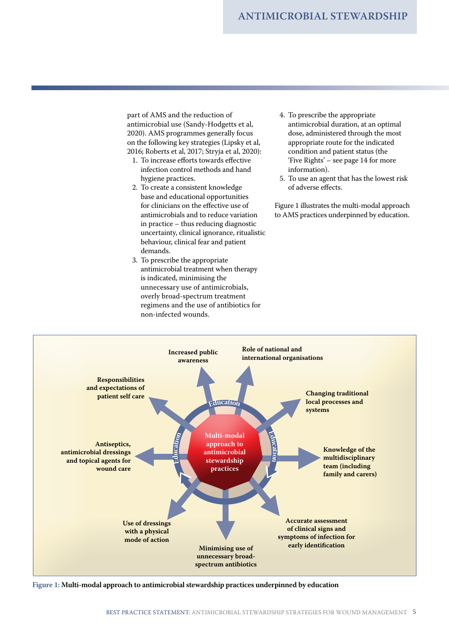part of AMS and the reduction of antimicrobial use (Sandy-Hodgetts et al, 2020). AMS programmes generally focus on the following key strategies (Lipsky et al, 2016; Roberts et al, 2017; Stryja et al, 2020):

- 1. To increase efforts towards effective infection control methods and hand hygiene practices.
- 2. To create a consistent knowledge base and educational opportunities for clinicians on the effective use of antimicrobials and to reduce variation in practice – thus reducing diagnostic uncertainty, clinical ignorance, ritualistic behaviour, clinical fear and patient demands.
- 3. To prescribe the appropriate antimicrobial treatment when therapy is indicated, minimising the unnecessary use of antimicrobials, overly broad-spectrum treatment regimens and the use of antibiotics for non-infected wounds.
- 4. To prescribe the appropriate antimicrobial duration, at an optimal dose, administered through the most appropriate route for the indicated condition and patient status (the 'Five Rights' – see page 14 for more information).
- 5. To use an agent that has the lowest risk of adverse effects.

Figure 1 illustrates the multi-modal approach to AMS practices underpinned by education.



**Figure 1: Multi-modal approach to antimicrobial stewardship practices underpinned by education**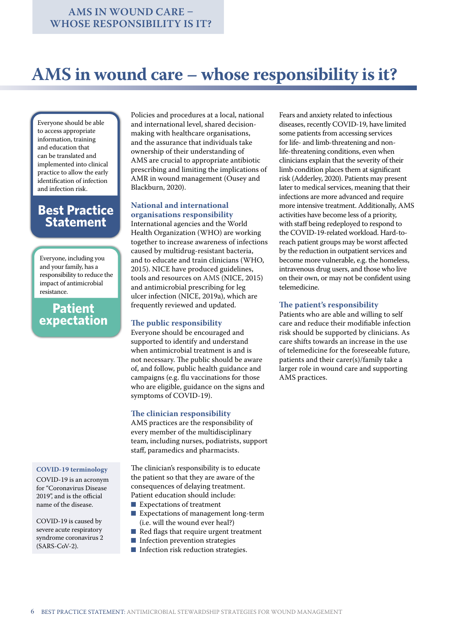## **AMS in wound care – whose responsibility is it?**

Everyone should be able to access appropriate information, training and education that can be translated and implemented into clinical practice to allow the early identification of infection and infection risk.

### **Best Practice Statement**

Everyone, including you and your family, has a responsibility to reduce the impact of antimicrobial resistance.

### **Patient expectation**

#### **COVID-19 terminology**

COVID-19 is an acronym for "Coronavirus Disease 2019", and is the official name of the disease.

COVID-19 is caused by severe acute respiratory syndrome coronavirus 2 (SARS-CoV-2).

Policies and procedures at a local, national and international level, shared decisionmaking with healthcare organisations, and the assurance that individuals take ownership of their understanding of AMS are crucial to appropriate antibiotic prescribing and limiting the implications of AMR in wound management (Ousey and Blackburn, 2020).

#### **National and international organisations responsibility**

International agencies and the World Health Organization (WHO) are working together to increase awareness of infections caused by multidrug-resistant bacteria, and to educate and train clinicians (WHO, 2015). NICE have produced guidelines, tools and resources on AMS (NICE, 2015) and antimicrobial prescribing for leg ulcer infection (NICE, 2019a), which are frequently reviewed and updated.

#### **The public responsibility**

Everyone should be encouraged and supported to identify and understand when antimicrobial treatment is and is not necessary. The public should be aware of, and follow, public health guidance and campaigns (e.g. flu vaccinations for those who are eligible, guidance on the signs and symptoms of COVID-19).

#### **The clinician responsibility**

AMS practices are the responsibility of every member of the multidisciplinary team, including nurses, podiatrists, support staff, paramedics and pharmacists.

The clinician's responsibility is to educate the patient so that they are aware of the consequences of delaying treatment. Patient education should include:

- Expectations of treatment
- Expectations of management long-term (i.e. will the wound ever heal?)
- Red flags that require urgent treatment
- Infection prevention strategies
- Infection risk reduction strategies.

Fears and anxiety related to infectious diseases, recently COVID-19, have limited some patients from accessing services for life- and limb-threatening and nonlife-threatening conditions, even when clinicians explain that the severity of their limb condition places them at significant risk (Adderley, 2020). Patients may present later to medical services, meaning that their infections are more advanced and require more intensive treatment. Additionally, AMS activities have become less of a priority, with staff being redeployed to respond to the COVID-19-related workload. Hard-toreach patient groups may be worst affected by the reduction in outpatient services and become more vulnerable, e.g. the homeless, intravenous drug users, and those who live on their own, or may not be confident using telemedicine.

#### **The patient's responsibility**

Patients who are able and willing to self care and reduce their modifiable infection risk should be supported by clinicians. As care shifts towards an increase in the use of telemedicine for the foreseeable future, patients and their carer(s)/family take a larger role in wound care and supporting AMS practices.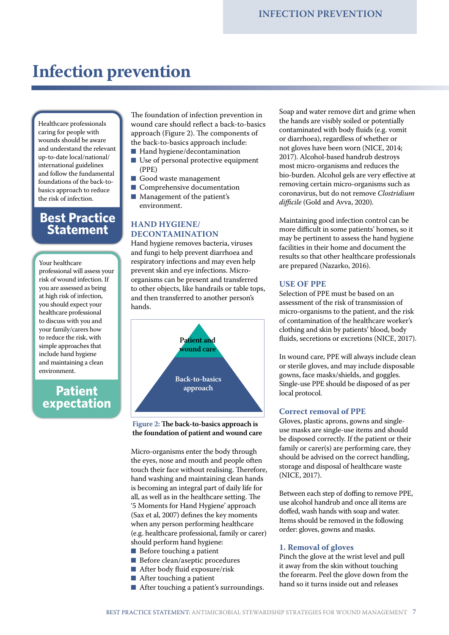## **Infection prevention**

Healthcare professionals caring for people with wounds should be aware and understand the relevant up-to-date local/national/ international guidelines and follow the fundamental foundations of the back-tobasics approach to reduce the risk of infection.

### **Best Practice Statement**

Your healthcare

**Patient** professional will assess your risk of wound infection. If you are assessed as being at high risk of infection, you should expect your healthcare professional to discuss with you and your family/carers how to reduce the risk, with simple approaches that include hand hygiene and maintaining a clean environment.

### **Patient expectation**

The foundation of infection prevention in wound care should reflect a back-to-basics approach (Figure 2). The components of the back-to-basics approach include:

- Hand hygiene/decontamination
- Use of personal protective equipment (PPE)
- Good waste management
- Comprehensive documentation
- Management of the patient's environment.

#### **HAND HYGIENE/ DECONTAMINATION**

Hand hygiene removes bacteria, viruses and fungi to help prevent diarrhoea and respiratory infections and may even help prevent skin and eye infections. Microorganisms can be present and transferred to other objects, like handrails or table tops, and then transferred to another person's hands.



**Figure 2: The back-to-basics approach is the foundation of patient and wound care**

Micro-organisms enter the body through the eyes, nose and mouth and people often touch their face without realising. Therefore, hand washing and maintaining clean hands is becoming an integral part of daily life for all, as well as in the healthcare setting. The '5 Moments for Hand Hygiene' approach (Sax et al, 2007) defines the key moments when any person performing healthcare (e.g. healthcare professional, family or carer) should perform hand hygiene:

- Before touching a patient
- Before clean/aseptic procedures
- After body fluid exposure/risk
- After touching a patient
- After touching a patient's surroundings.

Soap and water remove dirt and grime when the hands are visibly soiled or potentially contaminated with body fluids (e.g. vomit or diarrhoea), regardless of whether or not gloves have been worn (NICE, 2014; 2017). Alcohol-based handrub destroys most micro-organisms and reduces the bio-burden. Alcohol gels are very effective at removing certain micro-organisms such as coronavirus, but do not remove *Clostridium difficile* (Gold and Avva, 2020).

Maintaining good infection control can be more difficult in some patients' homes, so it may be pertinent to assess the hand hygiene facilities in their home and document the results so that other healthcare professionals are prepared (Nazarko, 2016).

#### **USE OF PPE**

Selection of PPE must be based on an assessment of the risk of transmission of micro-organisms to the patient, and the risk of contamination of the healthcare worker's clothing and skin by patients' blood, body fluids, secretions or excretions (NICE, 2017).

In wound care, PPE will always include clean or sterile gloves, and may include disposable gowns, face masks/shields, and goggles. Single-use PPE should be disposed of as per local protocol.

#### **Correct removal of PPE**

Gloves, plastic aprons, gowns and singleuse masks are single-use items and should be disposed correctly. If the patient or their family or carer(s) are performing care, they should be advised on the correct handling, storage and disposal of healthcare waste (NICE, 2017).

Between each step of doffing to remove PPE, use alcohol handrub and once all items are doffed, wash hands with soap and water. Items should be removed in the following order: gloves, gowns and masks.

#### **1. Removal of gloves**

Pinch the glove at the wrist level and pull it away from the skin without touching the forearm. Peel the glove down from the hand so it turns inside out and releases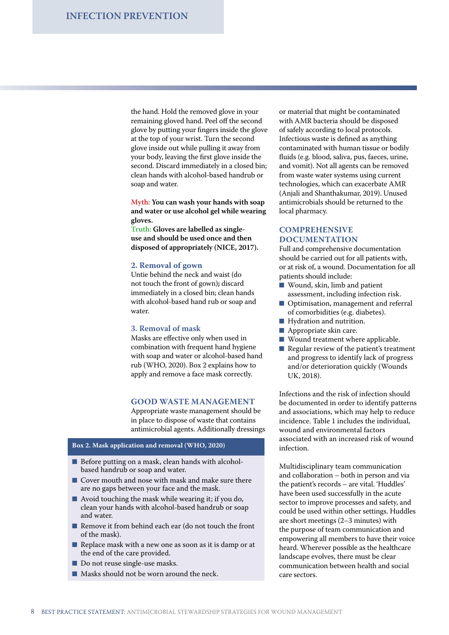the hand. Hold the removed glove in your remaining gloved hand. Peel off the second glove by putting your fingers inside the glove at the top of your wrist. Turn the second glove inside out while pulling it away from your body, leaving the first glove inside the second. Discard immediately in a closed bin; clean hands with alcohol-based handrub or soap and water.

**Myth: You can wash your hands with soap and water or use alcohol gel while wearing gloves.**

**Truth: Gloves are labelled as singleuse and should be used once and then disposed of appropriately (NICE, 2017).**

#### **2. Removal of gown**

Untie behind the neck and waist (do not touch the front of gown)**;** discard immediately in a closed bin; clean hands with alcohol-based hand rub or soap and water.

#### **3. Removal of mask**

Masks are effective only when used in combination with frequent hand hygiene with soap and water or alcohol-based hand rub (WHO, 2020). Box 2 explains how to apply and remove a face mask correctly.

#### **GOOD WASTE MANAGEMENT**

Appropriate waste management should be in place to dispose of waste that contains antimicrobial agents. Additionally dressings

#### **Box 2. Mask application and removal (WHO, 2020)**

- Before putting on a mask, clean hands with alcoholbased handrub or soap and water.
- Cover mouth and nose with mask and make sure there are no gaps between your face and the mask.
- $\blacksquare$  Avoid touching the mask while wearing it; if you do, clean your hands with alcohol-based handrub or soap and water.
- Remove it from behind each ear (do not touch the front of the mask).
- Replace mask with a new one as soon as it is damp or at the end of the care provided.
- Do not reuse single-use masks.
- Masks should not be worn around the neck.

or material that might be contaminated with AMR bacteria should be disposed of safely according to local protocols. Infectious waste is defined as anything contaminated with human tissue or bodily fluids (e.g. blood, saliva, pus, faeces, urine, and vomit). Not all agents can be removed from waste water systems using current technologies, which can exacerbate AMR (Anjali and Shanthakumar, 2019). Unused antimicrobials should be returned to the local pharmacy.

#### **COMPREHENSIVE DOCUMENTATION**

Full and comprehensive documentation should be carried out for all patients with, or at risk of, a wound. Documentation for all patients should include:

- Wound, skin, limb and patient assessment, including infection risk.
- Optimisation, management and referral of comorbidities (e.g. diabetes).
- Hydration and nutrition.
- Appropriate skin care.
- Wound treatment where applicable.
- Regular review of the patient's treatment and progress to identify lack of progress and/or deterioration quickly (Wounds UK, 2018).

Infections and the risk of infection should be documented in order to identify patterns and associations, which may help to reduce incidence. Table 1 includes the individual, wound and environmental factors associated with an increased risk of wound infection.

Multidisciplinary team communication and collaboration – both in person and via the patient's records – are vital. 'Huddles' have been used successfully in the acute sector to improve processes and safety, and could be used within other settings. Huddles are short meetings (2–3 minutes) with the purpose of team communication and empowering all members to have their voice heard. Wherever possible as the healthcare landscape evolves, there must be clear communication between health and social care sectors.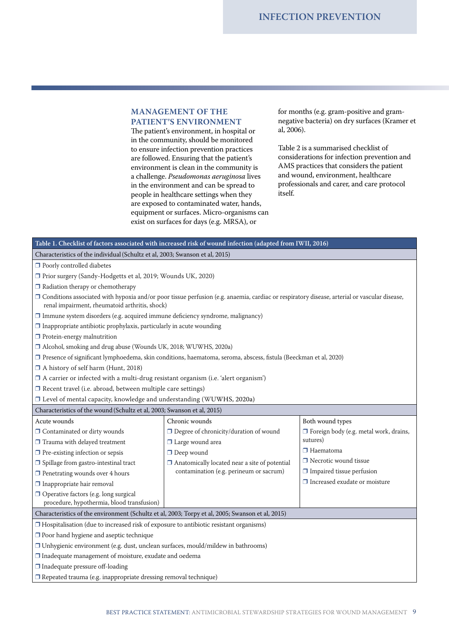#### **MANAGEMENT OF THE PATIENT'S ENVIRONMENT**

The patient's environment, in hospital or in the community, should be monitored to ensure infection prevention practices are followed. Ensuring that the patient's environment is clean in the community is a challenge. *Pseudomonas aeruginosa* lives in the environment and can be spread to people in healthcare settings when they are exposed to contaminated water, hands, equipment or surfaces. Micro-organisms can exist on surfaces for days (e.g. MRSA), or

for months (e.g. gram-positive and gramnegative bacteria) on dry surfaces (Kramer et al, 2006).

Table 2 is a summarised checklist of considerations for infection prevention and AMS practices that considers the patient and wound, environment, healthcare professionals and carer, and care protocol itself.

|                                                                                                    | Table 1. Checklist of factors associated with increased risk of wound infection (adapted from IWII, 2016)                                      |                                               |
|----------------------------------------------------------------------------------------------------|------------------------------------------------------------------------------------------------------------------------------------------------|-----------------------------------------------|
| Characteristics of the individual (Schultz et al, 2003; Swanson et al, 2015)                       |                                                                                                                                                |                                               |
| $\Box$ Poorly controlled diabetes                                                                  |                                                                                                                                                |                                               |
| □ Prior surgery (Sandy-Hodgetts et al, 2019; Wounds UK, 2020)                                      |                                                                                                                                                |                                               |
| $\Box$ Radiation therapy or chemotherapy                                                           |                                                                                                                                                |                                               |
| renal impairment, rheumatoid arthritis, shock)                                                     | □ Conditions associated with hypoxia and/or poor tissue perfusion (e.g. anaemia, cardiac or respiratory disease, arterial or vascular disease, |                                               |
| $\Box$ Immune system disorders (e.g. acquired immune deficiency syndrome, malignancy)              |                                                                                                                                                |                                               |
| $\Box$ Inappropriate antibiotic prophylaxis, particularly in acute wounding                        |                                                                                                                                                |                                               |
| $\Box$ Protein-energy malnutrition                                                                 |                                                                                                                                                |                                               |
| □ Alcohol, smoking and drug abuse (Wounds UK, 2018; WUWHS, 2020a)                                  |                                                                                                                                                |                                               |
|                                                                                                    | □ Presence of significant lymphoedema, skin conditions, haematoma, seroma, abscess, fistula (Beeckman et al, 2020)                             |                                               |
| □ A history of self harm (Hunt, 2018)                                                              |                                                                                                                                                |                                               |
| $\Box$ A carrier or infected with a multi-drug resistant organism (i.e. 'alert organism')          |                                                                                                                                                |                                               |
| □ Recent travel (i.e. abroad, between multiple care settings)                                      |                                                                                                                                                |                                               |
| □ Level of mental capacity, knowledge and understanding (WUWHS, 2020a)                             |                                                                                                                                                |                                               |
| Characteristics of the wound (Schultz et al, 2003; Swanson et al, 2015)                            |                                                                                                                                                |                                               |
| Acute wounds                                                                                       | Chronic wounds                                                                                                                                 | Both wound types                              |
| □ Contaminated or dirty wounds                                                                     | $\Box$ Degree of chronicity/duration of wound                                                                                                  | $\Box$ Foreign body (e.g. metal work, drains, |
| $\Box$ Trauma with delayed treatment                                                               | $\Box$ Large wound area                                                                                                                        | sutures)                                      |
| $\Box$ Pre-existing infection or sepsis                                                            | $\Box$ Deep wound                                                                                                                              | $\Box$ Haematoma                              |
| $\Box$ Spillage from gastro-intestinal tract                                                       | $\Box$ Anatomically located near a site of potential                                                                                           | $\Box$ Necrotic wound tissue                  |
| $\hfill\Box$<br>Penetrating wounds over 4 hours                                                    | contamination (e.g. perineum or sacrum)                                                                                                        | $\Box$ Impaired tissue perfusion              |
| $\Box$ Inappropriate hair removal                                                                  |                                                                                                                                                | $\Box$ Increased exudate or moisture          |
| Operative factors (e.g. long surgical                                                              |                                                                                                                                                |                                               |
| procedure, hypothermia, blood transfusion)                                                         |                                                                                                                                                |                                               |
| Characteristics of the environment (Schultz et al, 2003; Torpy et al, 2005; Swanson et al, 2015)   |                                                                                                                                                |                                               |
| $\Box$ Hospitalisation (due to increased risk of exposure to antibiotic resistant organisms)       |                                                                                                                                                |                                               |
| $\Box$ Poor hand hygiene and aseptic technique                                                     |                                                                                                                                                |                                               |
| $\hfill\textsf{I}$ Unhygienic environment (e.g. dust, unclean surfaces, mould/mildew in bathrooms) |                                                                                                                                                |                                               |
| $\Box$ Inadequate management of moisture, exudate and oedema                                       |                                                                                                                                                |                                               |
| □ Inadequate pressure off-loading                                                                  |                                                                                                                                                |                                               |
| Repeated trauma (e.g. inappropriate dressing removal technique)                                    |                                                                                                                                                |                                               |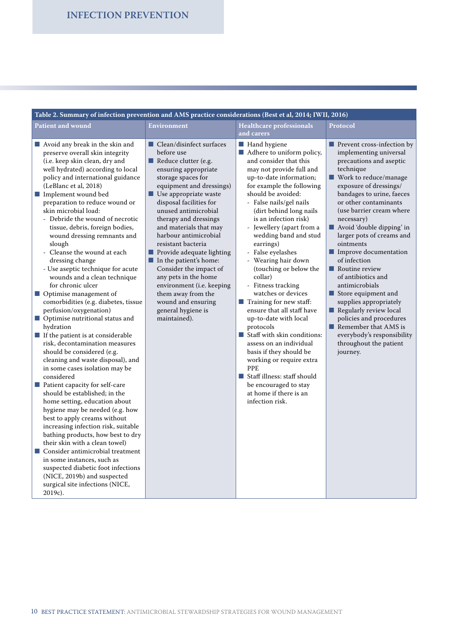| Table 2. Summary of infection prevention and AMS practice considerations (Best et al, 2014; IWII, 2016)                                                                                                                                                                                                                                                                                                                                                                                                                                                                                                                                                                                                                                                                                                                                                                                                                                                                                                                                                                                                                                                                                                                                                                                                                                                                                                                                    |                                                                                                                                                                                                                                                                                                                                                                                                                                                                                                                                                                                |                                                                                                                                                                                                                                                                                                                                                                                                                                                                                                                                                                                                                                                                                                                                                                                                              |                                                                                                                                                                                                                                                                                                                                                                                                                                                                                                                                                                                                                                                             |  |  |  |
|--------------------------------------------------------------------------------------------------------------------------------------------------------------------------------------------------------------------------------------------------------------------------------------------------------------------------------------------------------------------------------------------------------------------------------------------------------------------------------------------------------------------------------------------------------------------------------------------------------------------------------------------------------------------------------------------------------------------------------------------------------------------------------------------------------------------------------------------------------------------------------------------------------------------------------------------------------------------------------------------------------------------------------------------------------------------------------------------------------------------------------------------------------------------------------------------------------------------------------------------------------------------------------------------------------------------------------------------------------------------------------------------------------------------------------------------|--------------------------------------------------------------------------------------------------------------------------------------------------------------------------------------------------------------------------------------------------------------------------------------------------------------------------------------------------------------------------------------------------------------------------------------------------------------------------------------------------------------------------------------------------------------------------------|--------------------------------------------------------------------------------------------------------------------------------------------------------------------------------------------------------------------------------------------------------------------------------------------------------------------------------------------------------------------------------------------------------------------------------------------------------------------------------------------------------------------------------------------------------------------------------------------------------------------------------------------------------------------------------------------------------------------------------------------------------------------------------------------------------------|-------------------------------------------------------------------------------------------------------------------------------------------------------------------------------------------------------------------------------------------------------------------------------------------------------------------------------------------------------------------------------------------------------------------------------------------------------------------------------------------------------------------------------------------------------------------------------------------------------------------------------------------------------------|--|--|--|
| <b>Patient and wound</b>                                                                                                                                                                                                                                                                                                                                                                                                                                                                                                                                                                                                                                                                                                                                                                                                                                                                                                                                                                                                                                                                                                                                                                                                                                                                                                                                                                                                                   | <b>Environment</b>                                                                                                                                                                                                                                                                                                                                                                                                                                                                                                                                                             | <b>Healthcare professionals</b><br>and carers                                                                                                                                                                                                                                                                                                                                                                                                                                                                                                                                                                                                                                                                                                                                                                | <b>Protocol</b>                                                                                                                                                                                                                                                                                                                                                                                                                                                                                                                                                                                                                                             |  |  |  |
| ■ Avoid any break in the skin and<br>preserve overall skin integrity<br>(i.e. keep skin clean, dry and<br>well hydrated) according to local<br>policy and international guidance<br>(LeBlanc et al, 2018)<br>Implement wound bed<br>preparation to reduce wound or<br>skin microbial load:<br>- Debride the wound of necrotic<br>tissue, debris, foreign bodies,<br>wound dressing remnants and<br>slough<br>Cleanse the wound at each<br>$\overline{\phantom{a}}$<br>dressing change<br>- Use aseptic technique for acute<br>wounds and a clean technique<br>for chronic ulcer<br>■ Optimise management of<br>comorbidities (e.g. diabetes, tissue<br>perfusion/oxygenation)<br>$\hfill\blacksquare$<br>Optimise nutritional status and<br>hydration<br>$\blacksquare$ If the patient is at considerable<br>risk, decontamination measures<br>should be considered (e.g.<br>cleaning and waste disposal), and<br>in some cases isolation may be<br>considered<br>Patient capacity for self-care<br>should be established; in the<br>home setting, education about<br>hygiene may be needed (e.g. how<br>best to apply creams without<br>increasing infection risk, suitable<br>bathing products, how best to dry<br>their skin with a clean towel)<br>■ Consider antimicrobial treatment<br>in some instances, such as<br>suspected diabetic foot infections<br>(NICE, 2019b) and suspected<br>surgical site infections (NICE,<br>2019c). | ■ Clean/disinfect surfaces<br>before use<br>Reduce clutter (e.g.<br>ensuring appropriate<br>storage spaces for<br>equipment and dressings)<br>$\blacksquare$ Use appropriate waste<br>disposal facilities for<br>unused antimicrobial<br>therapy and dressings<br>and materials that may<br>harbour antimicrobial<br>resistant bacteria<br>Provide adequate lighting<br>$\blacksquare$ In the patient's home:<br>Consider the impact of<br>any pets in the home<br>environment (i.e. keeping<br>them away from the<br>wound and ensuring<br>general hygiene is<br>maintained). | Hand hygiene<br>Adhere to uniform policy,<br>and consider that this<br>may not provide full and<br>up-to-date information;<br>for example the following<br>should be avoided:<br>- False nails/gel nails<br>(dirt behind long nails<br>is an infection risk)<br>- Jewellery (apart from a<br>wedding band and stud<br>earrings)<br>False eyelashes<br>- Wearing hair down<br>(touching or below the<br>collar)<br>- Fitness tracking<br>watches or devices<br>$\blacksquare$ Training for new staff:<br>ensure that all staff have<br>up-to-date with local<br>protocols<br>Staff with skin conditions:<br>assess on an individual<br>basis if they should be<br>working or require extra<br><b>PPE</b><br>Staff illness: staff should<br>be encouraged to stay<br>at home if there is an<br>infection risk. | Prevent cross-infection by<br>implementing universal<br>precautions and aseptic<br>technique<br>■ Work to reduce/manage<br>exposure of dressings/<br>bandages to urine, faeces<br>or other contaminants<br>(use barrier cream where<br>necessary)<br>Avoid 'double dipping' in<br>larger pots of creams and<br>ointments<br>Improve documentation<br>of infection<br>$\blacksquare$ Routine review<br>of antibiotics and<br>antimicrobials<br>$\blacksquare$ Store equipment and<br>supplies appropriately<br>Regularly review local<br>policies and procedures<br>Remember that AMS is<br>everybody's responsibility<br>throughout the patient<br>journey. |  |  |  |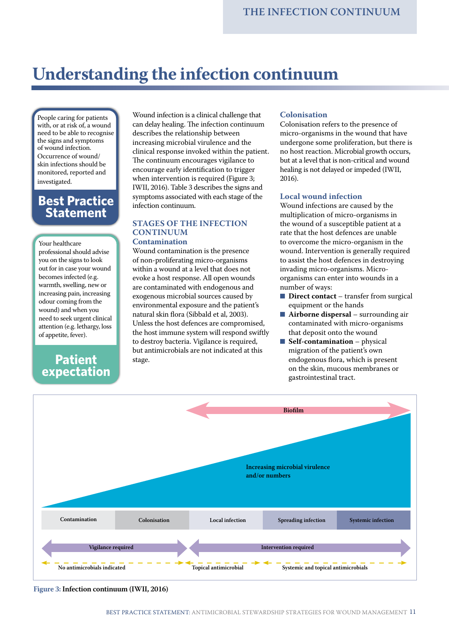## **Understanding the infection continuum**

People caring for patients with, or at risk of, a wound need to be able to recognise the signs and symptoms of wound infection. Occurrence of wound/ skin infections should be monitored, reported and investigated.

### **Best Practice Statement**

Your healthcare

professional should advise you on the signs to look out for in case your wound becomes infected (e.g. warmth, swelling, new or increasing pain, increasing odour coming from the wound) and when you need to seek urgent clinical attention (e.g. lethargy, loss of appetite, fever).

### **Patient expectation**

Wound infection is a clinical challenge that can delay healing. The infection continuum describes the relationship between increasing microbial virulence and the clinical response invoked within the patient. The continuum encourages vigilance to encourage early identification to trigger when intervention is required (Figure 3; IWII, 2016). Table 3 describes the signs and symptoms associated with each stage of the infection continuum.

#### **STAGES OF THE INFECTION CONTINUUM Contamination**

Wound contamination is the presence of non-proliferating micro-organisms within a wound at a level that does not evoke a host response. All open wounds are contaminated with endogenous and exogenous microbial sources caused by environmental exposure and the patient's natural skin flora (Sibbald et al, 2003). Unless the host defences are compromised, the host immune system will respond swiftly to destroy bacteria. Vigilance is required, but antimicrobials are not indicated at this stage.

#### **Colonisation**

Colonisation refers to the presence of micro-organisms in the wound that have undergone some proliferation, but there is no host reaction. Microbial growth occurs, but at a level that is non-critical and wound healing is not delayed or impeded (IWII, 2016).

#### **Local wound infection**

Wound infections are caused by the multiplication of micro-organisms in the wound of a susceptible patient at a rate that the host defences are unable to overcome the micro-organism in the wound. Intervention is generally required to assist the host defences in destroying invading micro-organisms. Microorganisms can enter into wounds in a number of ways:

- **Direct contact** transfer from surgical equipment or the hands
- **Airborne dispersal** surrounding air contaminated with micro-organisms that deposit onto the wound
- **Self-contamination** physical migration of the patient's own endogenous flora, which is present on the skin, mucous membranes or gastrointestinal tract.



**Figure 3: Infection continuum (IWII, 2016)**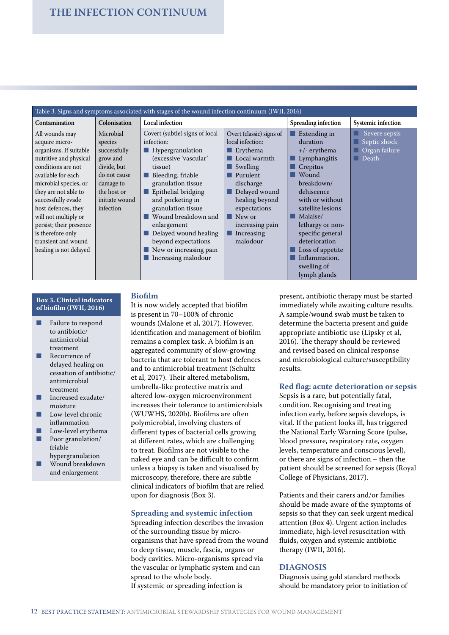| Table 3. Signs and symptoms associated with stages of the wound infection continuum (IWII, 2016)                                                                                                                                                                                                                                                        |                                                                                                                                            |                                                                                                                                                                                                                                                                                                                                                                                       |                                                                                                                                                                                                                                                                                     |                                                                                                                                                                                                                                                                                                                                             |                                                           |
|---------------------------------------------------------------------------------------------------------------------------------------------------------------------------------------------------------------------------------------------------------------------------------------------------------------------------------------------------------|--------------------------------------------------------------------------------------------------------------------------------------------|---------------------------------------------------------------------------------------------------------------------------------------------------------------------------------------------------------------------------------------------------------------------------------------------------------------------------------------------------------------------------------------|-------------------------------------------------------------------------------------------------------------------------------------------------------------------------------------------------------------------------------------------------------------------------------------|---------------------------------------------------------------------------------------------------------------------------------------------------------------------------------------------------------------------------------------------------------------------------------------------------------------------------------------------|-----------------------------------------------------------|
| <b>Contamination</b>                                                                                                                                                                                                                                                                                                                                    | Colonisation                                                                                                                               | <b>Local infection</b>                                                                                                                                                                                                                                                                                                                                                                |                                                                                                                                                                                                                                                                                     | Spreading infection                                                                                                                                                                                                                                                                                                                         | Systemic infection                                        |
| All wounds may<br>acquire micro-<br>organisms. If suitable<br>nutritive and physical<br>conditions are not<br>available for each<br>microbial species, or<br>they are not able to<br>successfully evade<br>host defences, they<br>will not multiply or<br>persist; their presence<br>is therefore only<br>transient and wound<br>healing is not delayed | Microbial<br>species<br>successfully<br>grow and<br>divide, but<br>do not cause<br>damage to<br>the host or<br>initiate wound<br>infection | Covert (subtle) signs of local<br>infection:<br>$\blacksquare$ Hypergranulation<br>(excessive 'vascular'<br>tissue)<br>Bleeding, friable<br>granulation tissue<br>Epithelial bridging<br>and pocketing in<br>granulation tissue<br>Wound breakdown and<br>enlargement<br>Delayed wound healing<br>beyond expectations<br>$\blacksquare$ New or increasing pain<br>Increasing malodour | Overt (classic) signs of<br>local infection:<br>$\blacksquare$ Erythema<br>$\blacksquare$ Local warmth<br>$\blacksquare$ Swelling<br>Purulent<br>discharge<br>Delayed wound<br>healing beyond<br>expectations<br>$\blacksquare$ New or<br>increasing pain<br>Increasing<br>malodour | $\blacksquare$ Extending in<br>duration<br>$+/-$ erythema<br>$\blacksquare$ Lymphangitis<br>$\blacksquare$ Crepitus<br>■ Wound<br>breakdown/<br>dehiscence<br>with or without<br>satellite lesions<br>Malaise/<br>lethargy or non-<br>specific general<br>deterioration<br>Loss of appetite<br>Inflammation.<br>swelling of<br>lymph glands | Severe sepsis<br>Septic shock<br>Organ failure<br>□ Death |

#### **Box 3. Clinical indicators of biofilm (IWII, 2016)**

- Failure to respond to antibiotic/ antimicrobial treatment
- Recurrence of delayed healing on cessation of antibiotic/ antimicrobial treatment
- Increased exudate/ moisture
- Low-level chronic inflammation
- Low-level erythema Poor granulation/ friable
- hypergranulation Wound breakdown
- and enlargement

#### **Biofilm**

It is now widely accepted that biofilm is present in 70–100% of chronic wounds (Malone et al, 2017). However, identification and management of biofilm remains a complex task. A biofilm is an aggregated community of slow-growing bacteria that are tolerant to host defences and to antimicrobial treatment (Schultz et al, 2017). Their altered metabolism, umbrella-like protective matrix and altered low-oxygen microenvironment increases their tolerance to antimicrobials (WUWHS, 2020b). Biofilms are often polymicrobial, involving clusters of different types of bacterial cells growing at different rates, which are challenging to treat. Biofilms are not visible to the naked eye and can be difficult to confirm unless a biopsy is taken and visualised by microscopy, therefore, there are subtle clinical indicators of biofilm that are relied upon for diagnosis (Box 3).

#### **Spreading and systemic infection**

Spreading infection describes the invasion of the surrounding tissue by microorganisms that have spread from the wound to deep tissue, muscle, fascia, organs or body cavities. Micro-organisms spread via the vascular or lymphatic system and can spread to the whole body. If systemic or spreading infection is

present, antibiotic therapy must be started immediately while awaiting culture results. A sample/wound swab must be taken to determine the bacteria present and guide appropriate antibiotic use (Lipsky et al, 2016). The therapy should be reviewed and revised based on clinical response and microbiological culture/susceptibility results.

#### **Red flag: acute deterioration or sepsis**

Sepsis is a rare, but potentially fatal, condition. Recognising and treating infection early, before sepsis develops, is vital. If the patient looks ill, has triggered the National Early Warning Score (pulse, blood pressure, respiratory rate, oxygen levels, temperature and conscious level), or there are signs of infection – then the patient should be screened for sepsis (Royal College of Physicians, 2017).

Patients and their carers and/or families should be made aware of the symptoms of sepsis so that they can seek urgent medical attention (Box 4). Urgent action includes immediate, high-level resuscitation with fluids, oxygen and systemic antibiotic therapy (IWII, 2016).

#### **DIAGNOSIS**

Diagnosis using gold standard methods should be mandatory prior to initiation of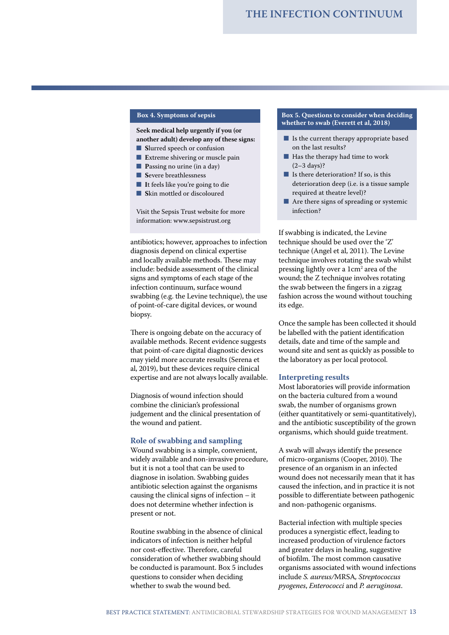#### **Box 4. Symptoms of sepsis**

**Seek medical help urgently if you (or another adult) develop any of these signs:**

- **Slurred speech or confusion**
- **Extreme shivering or muscle pain**
- **Passing no urine (in a day)**
- **Severe breathlessness**
- It feels like you're going to die
- Skin mottled or discoloured

Visit the Sepsis Trust website for more information: www.sepsistrust.org

antibiotics; however, approaches to infection diagnosis depend on clinical expertise and locally available methods. These may include: bedside assessment of the clinical signs and symptoms of each stage of the infection continuum, surface wound swabbing (e.g. the Levine technique), the use of point-of-care digital devices, or wound biopsy.

There is ongoing debate on the accuracy of available methods. Recent evidence suggests that point-of-care digital diagnostic devices may yield more accurate results (Serena et al, 2019), but these devices require clinical expertise and are not always locally available.

Diagnosis of wound infection should combine the clinician's professional judgement and the clinical presentation of the wound and patient.

#### **Role of swabbing and sampling**

Wound swabbing is a simple, convenient, widely available and non-invasive procedure, but it is not a tool that can be used to diagnose in isolation. Swabbing guides antibiotic selection against the organisms causing the clinical signs of infection – it does not determine whether infection is present or not.

Routine swabbing in the absence of clinical indicators of infection is neither helpful nor cost-effective. Therefore, careful consideration of whether swabbing should be conducted is paramount. Box 5 includes questions to consider when deciding whether to swab the wound bed.

#### **Box 5. Questions to consider when deciding whether to swab (Everett et al, 2018)**

- Is the current therapy appropriate based on the last results?
- Has the therapy had time to work (2–3 days)?
- Is there deterioration? If so, is this deterioration deep (i.e. is a tissue sample required at theatre level)?
- Are there signs of spreading or systemic infection?

If swabbing is indicated, the Levine technique should be used over the 'Z' technique (Angel et al, 2011). The Levine technique involves rotating the swab whilst pressing lightly over a 1cm2 area of the wound; the Z technique involves rotating the swab between the fingers in a zigzag fashion across the wound without touching its edge.

Once the sample has been collected it should be labelled with the patient identification details, date and time of the sample and wound site and sent as quickly as possible to the laboratory as per local protocol.

#### **Interpreting results**

Most laboratories will provide information on the bacteria cultured from a wound swab, the number of organisms grown (either quantitatively or semi-quantitatively), and the antibiotic susceptibility of the grown organisms, which should guide treatment.

A swab will always identify the presence of micro-organisms (Cooper, 2010). The presence of an organism in an infected wound does not necessarily mean that it has caused the infection, and in practice it is not possible to differentiate between pathogenic and non-pathogenic organisms.

Bacterial infection with multiple species produces a synergistic effect, leading to increased production of virulence factors and greater delays in healing, suggestive of biofilm. The most common causative organisms associated with wound infections include *S. aureus/*MRSA*, Streptococcus pyogenes*, *Enterococci* and *P. aeruginosa*.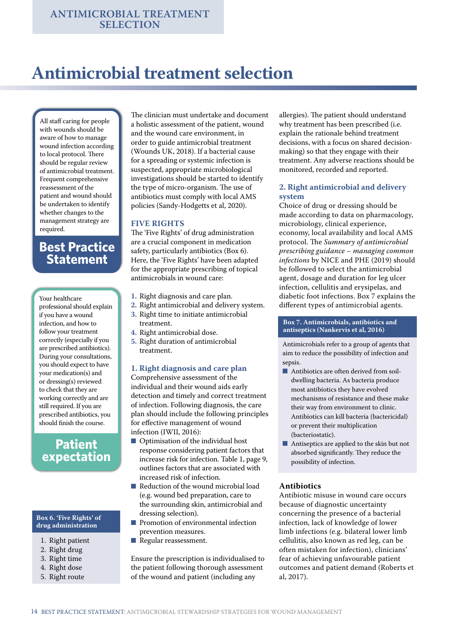## **Antimicrobial treatment selection**

All staff caring for people with wounds should be aware of how to manage wound infection according to local protocol. There should be regular review of antimicrobial treatment. Frequent comprehensive reassessment of the patient and wound should be undertaken to identify whether changes to the management strategy are required.

### **Best Practice Statement**

Your healthcare professional should explain if you have a wound infection, and how to follow your treatment correctly (especially if you are prescribed antibiotics). During your consultations, you should expect to have your medication(s) and or dressing(s) reviewed to check that they are working correctly and are still required. If you are prescribed antibiotics, you should finish the course.

## **Patient expectation**

#### **Box 6. 'Five Rights' of drug administration**

- 1. Right patient
- 2. Right drug
- 3. Right time
- 4. Right dose
- 5. Right route

The clinician must undertake and document a holistic assessment of the patient, wound and the wound care environment, in order to guide antimicrobial treatment (Wounds UK, 2018). If a bacterial cause for a spreading or systemic infection is suspected, appropriate microbiological investigations should be started to identify the type of micro-organism. The use of antibiotics must comply with local AMS policies (Sandy-Hodgetts et al, 2020).

#### **FIVE RIGHTS**

The 'Five Rights' of drug administration are a crucial component in medication safety, particularly antibiotics (Box 6). Here, the 'Five Rights' have been adapted for the appropriate prescribing of topical antimicrobials in wound care:

- **1.** Right diagnosis and care plan.
- **2.** Right antimicrobial and delivery system.
- **3.** Right time to initiate antimicrobial
- treatment. **4.** Right antimicrobial dose.
- **5.** Right duration of antimicrobial treatment.

#### **1. Right diagnosis and care plan**

Comprehensive assessment of the individual and their wound aids early detection and timely and correct treatment of infection. Following diagnosis, the care plan should include the following principles for effective management of wound infection (IWII, 2016):

- Optimisation of the individual host response considering patient factors that increase risk for infection. Table 1, page 9, outlines factors that are associated with increased risk of infection.
- Reduction of the wound microbial load (e.g. wound bed preparation, care to the surrounding skin, antimicrobial and dressing selection).
- Promotion of environmental infection prevention measures.
- Regular reassessment.

Ensure the prescription is individualised to the patient following thorough assessment of the wound and patient (including any

allergies). The patient should understand why treatment has been prescribed (i.e. explain the rationale behind treatment decisions, with a focus on shared decisionmaking) so that they engage with their treatment. Any adverse reactions should be monitored, recorded and reported.

#### **2. Right antimicrobial and delivery system**

Choice of drug or dressing should be made according to data on pharmacology, microbiology, clinical experience, economy, local availability and local AMS protocol. The *Summary of antimicrobial prescribing guidance – managing common infections* by NICE and PHE (2019) should be followed to select the antimicrobial agent, dosage and duration for leg ulcer infection, cellulitis and erysipelas, and diabetic foot infections. Box 7 explains the different types of antimicrobial agents.

#### **Box 7. Antimicrobials, antibiotics and antiseptics (Nankervis et al, 2016)**

Antimicrobials refer to a group of agents that aim to reduce the possibility of infection and sepsis.

- Antibiotics are often derived from soildwelling bacteria. As bacteria produce most antibiotics they have evolved mechanisms of resistance and these make their way from environment to clinic. Antibiotics can kill bacteria (bactericidal) or prevent their multiplication (bacteriostatic).
- Antiseptics are applied to the skin but not absorbed significantly. They reduce the possibility of infection.

#### **Antibiotics**

Antibiotic misuse in wound care occurs because of diagnostic uncertainty concerning the presence of a bacterial infection, lack of knowledge of lower limb infections (e.g. bilateral lower limb cellulitis, also known as red leg, can be often mistaken for infection), clinicians' fear of achieving unfavourable patient outcomes and patient demand (Roberts et al, 2017).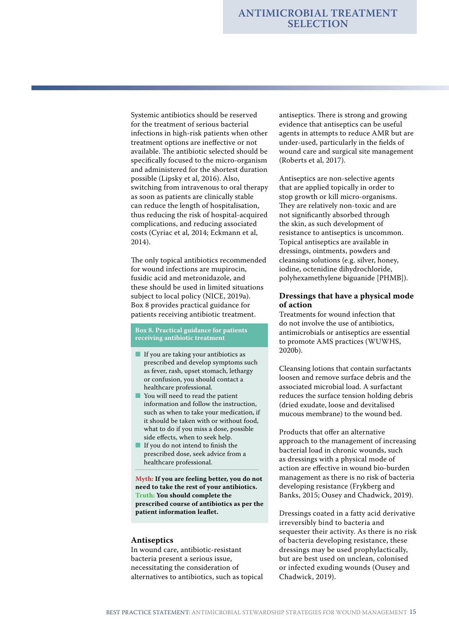Systemic antibiotics should be reserved for the treatment of serious bacterial infections in high-risk patients when other treatment options are ineffective or not available. The antibiotic selected should be specifically focused to the micro-organism and administered for the shortest duration possible (Lipsky et al, 2016). Also, switching from intravenous to oral therapy as soon as patients are clinically stable can reduce the length of hospitalisation, thus reducing the risk of hospital-acquired complications, and reducing associated costs (Cyriac et al, 2014; Eckmann et al, 2014).

The only topical antibiotics recommended for wound infections are mupirocin, fusidic acid and metronidazole, and these should be used in limited situations subject to local policy (NICE, 2019a). Box 8 provides practical guidance for patients receiving antibiotic treatment.

#### **Box 8. Practical guidance for patients receiving antibiotic treatment**

- If you are taking your antibiotics as prescribed and develop symptoms such as fever, rash, upset stomach, lethargy or confusion, you should contact a healthcare professional.
- You will need to read the patient information and follow the instruction, such as when to take your medication, if it should be taken with or without food, what to do if you miss a dose, possible side effects, when to seek help.
- If you do not intend to finish the prescribed dose, seek advice from a healthcare professional.

**Myth: If you are feeling better, you do not need to take the rest of your antibiotics. Truth: You should complete the prescribed course of antibiotics as per the patient information leaflet.**

#### **Antiseptics**

In wound care, antibiotic-resistant bacteria present a serious issue, necessitating the consideration of alternatives to antibiotics, such as topical antiseptics. There is strong and growing evidence that antiseptics can be useful agents in attempts to reduce AMR but are under-used, particularly in the fields of wound care and surgical site management (Roberts et al, 2017).

Antiseptics are non-selective agents that are applied topically in order to stop growth or kill micro-organisms. They are relatively non-toxic and are not significantly absorbed through the skin, as such development of resistance to antiseptics is uncommon. Topical antiseptics are available in dressings, ointments, powders and cleansing solutions (e.g. silver, honey, iodine, octenidine dihydrochloride, polyhexamethylene biguanide [PHMB]).

#### **Dressings that have a physical mode of action**

Treatments for wound infection that do not involve the use of antibiotics, antimicrobials or antiseptics are essential to promote AMS practices (WUWHS, 2020b).

Cleansing lotions that contain surfactants loosen and remove surface debris and the associated microbial load. A surfactant reduces the surface tension holding debris (dried exudate, loose and devitalised mucous membrane) to the wound bed.

Products that offer an alternative approach to the management of increasing bacterial load in chronic wounds, such as dressings with a physical mode of action are effective in wound bio-burden management as there is no risk of bacteria developing resistance (Frykberg and Banks, 2015; Ousey and Chadwick, 2019).

Dressings coated in a fatty acid derivative irreversibly bind to bacteria and sequester their activity. As there is no risk of bacteria developing resistance, these dressings may be used prophylactically, but are best used on unclean, colonised or infected exuding wounds (Ousey and Chadwick, 2019).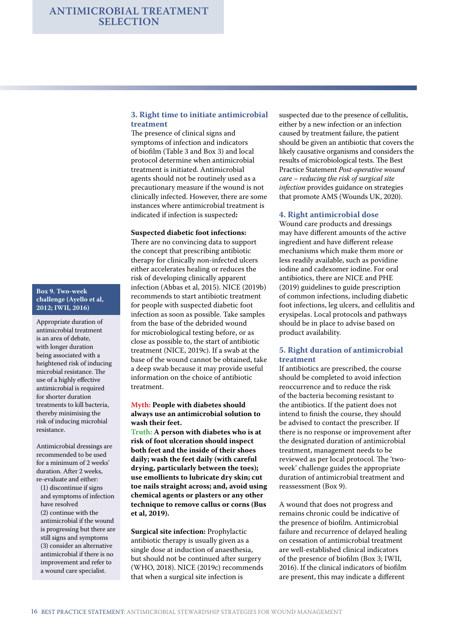# **Box 9. Two-week**

**challenge (Ayello et al, 2012; IWII, 2016)**

Appropriate duration of antimicrobial treatment is an area of debate, with longer duration being associated with a heightened risk of inducing microbial resistance. The use of a highly effective antimicrobial is required for shorter duration treatments to kill bacteria, thereby minimising the risk of inducing microbial resistance.

Antimicrobial dressings are recommended to be used for a minimum of 2 weeks' duration. After 2 weeks, re-evaluate and either:

(1) discontinue if signs and symptoms of infection have resolved (2) continue with the antimicrobial if the wound is progressing but there are still signs and symptoms (3) consider an alternative antimicrobial if there is no improvement and refer to a wound care specialist.

#### **3. Right time to initiate antimicrobial treatment**

The presence of clinical signs and symptoms of infection and indicators of biofilm (Table 3 and Box 3) and local protocol determine when antimicrobial treatment is initiated. Antimicrobial agents should not be routinely used as a precautionary measure if the wound is not clinically infected. However, there are some instances where antimicrobial treatment is indicated if infection is suspected**:**

#### **Suspected diabetic foot infections:**

There are no convincing data to support the concept that prescribing antibiotic therapy for clinically non-infected ulcers either accelerates healing or reduces the risk of developing clinically apparent infection (Abbas et al, 2015). NICE (2019b) recommends to start antibiotic treatment for people with suspected diabetic foot infection as soon as possible. Take samples from the base of the debrided wound for microbiological testing before, or as close as possible to, the start of antibiotic treatment (NICE, 2019c). If a swab at the base of the wound cannot be obtained, take a deep swab because it may provide useful information on the choice of antibiotic treatment.

#### **Myth: People with diabetes should always use an antimicrobial solution to wash their feet.**

**Truth: A person with diabetes who is at risk of foot ulceration should inspect both feet and the inside of their shoes daily; wash the feet daily (with careful drying, particularly between the toes); use emollients to lubricate dry skin; cut toe nails straight across; and, avoid using chemical agents or plasters or any other technique to remove callus or corns (Bus et al, 2019).**

**Surgical site infection:** Prophylactic antibiotic therapy is usually given as a single dose at induction of anaesthesia, but should not be continued after surgery (WHO, 2018). NICE (2019c) recommends that when a surgical site infection is

suspected due to the presence of cellulitis, either by a new infection or an infection caused by treatment failure, the patient should be given an antibiotic that covers the likely causative organisms and considers the results of microbiological tests. The Best Practice Statement *Post-operative wound care – reducing the risk of surgical site infection* provides guidance on strategies that promote AMS (Wounds UK, 2020).

#### **4. Right antimicrobial dose**

Wound care products and dressings may have different amounts of the active ingredient and have different release mechanisms which make them more or less readily available, such as povidine iodine and cadexomer iodine. For oral antibiotics, there are NICE and PHE (2019) guidelines to guide prescription of common infections, including diabetic foot infections, leg ulcers, and cellulitis and erysipelas. Local protocols and pathways should be in place to advise based on product availability.

#### **5. Right duration of antimicrobial treatment**

If antibiotics are prescribed, the course should be completed to avoid infection reoccurrence and to reduce the risk of the bacteria becoming resistant to the antibiotics. If the patient does not intend to finish the course, they should be advised to contact the prescriber. If there is no response or improvement after the designated duration of antimicrobial treatment, management needs to be reviewed as per local protocol. The 'twoweek' challenge guides the appropriate duration of antimicrobial treatment and reassessment (Box 9).

A wound that does not progress and remains chronic could be indicative of the presence of biofilm. Antimicrobial failure and recurrence of delayed healing on cessation of antimicrobial treatment are well-established clinical indicators of the presence of biofilm (Box 3; IWII, 2016). If the clinical indicators of biofilm are present, this may indicate a different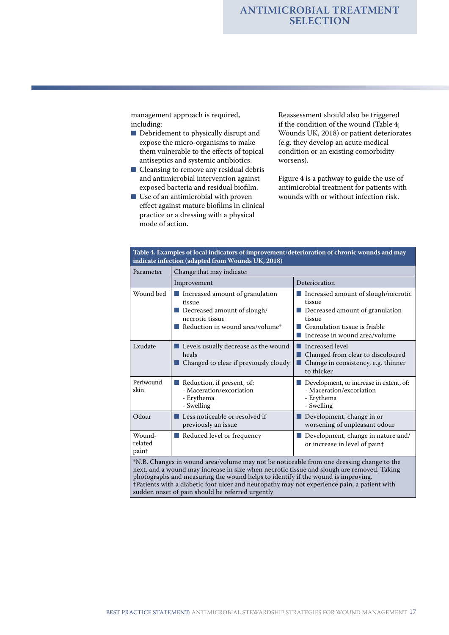management approach is required, including:

- Debridement to physically disrupt and expose the micro-organisms to make them vulnerable to the effects of topical antiseptics and systemic antibiotics.
- Cleansing to remove any residual debris and antimicrobial intervention against exposed bacteria and residual biofilm.
- Use of an antimicrobial with proven effect against mature biofilms in clinical practice or a dressing with a physical mode of action.

Reassessment should also be triggered if the condition of the wound (Table 4; Wounds UK, 2018) or patient deteriorates (e.g. they develop an acute medical condition or an existing comorbidity worsens).

Figure 4 is a pathway to guide the use of antimicrobial treatment for patients with wounds with or without infection risk.

| Parameter                              | Change that may indicate:                                                                                                               |                                                                                                                                                                |  |  |
|----------------------------------------|-----------------------------------------------------------------------------------------------------------------------------------------|----------------------------------------------------------------------------------------------------------------------------------------------------------------|--|--|
|                                        | Improvement                                                                                                                             | Deterioration                                                                                                                                                  |  |  |
| Wound bed                              | Increased amount of granulation<br>tissue<br>Decreased amount of slough/<br>a a s<br>necrotic tissue<br>Reduction in wound area/volume* | ■ Increased amount of slough/necrotic<br>tissue<br>Decreased amount of granulation<br>tissue<br>Granulation tissue is friable<br>Increase in wound area/volume |  |  |
| Exudate                                | ■ Levels usually decrease as the wound<br>heals<br>Changed to clear if previously cloudy                                                | Increased level<br>. .<br>Changed from clear to discoloured<br>Change in consistency, e.g. thinner<br>. .<br>to thicker                                        |  |  |
| Periwound<br>skin                      | Reduction, if present, of:<br>- Maceration/excoriation<br>- Erythema<br>- Swelling                                                      | Development, or increase in extent, of:<br>- Maceration/excoriation<br>- Erythema<br>- Swelling                                                                |  |  |
| Odour                                  | Less noticeable or resolved if<br>previously an issue                                                                                   | Development, change in or<br>worsening of unpleasant odour                                                                                                     |  |  |
| Wound-<br>related<br>pain <sup>+</sup> | Reduced level or frequency                                                                                                              | Development, change in nature and/<br>or increase in level of paint                                                                                            |  |  |

photographs and measuring the wound helps to identify if the wound is improving. †Patients with a diabetic foot ulcer and neuropathy may not experience pain; a patient with sudden onset of pain should be referred urgently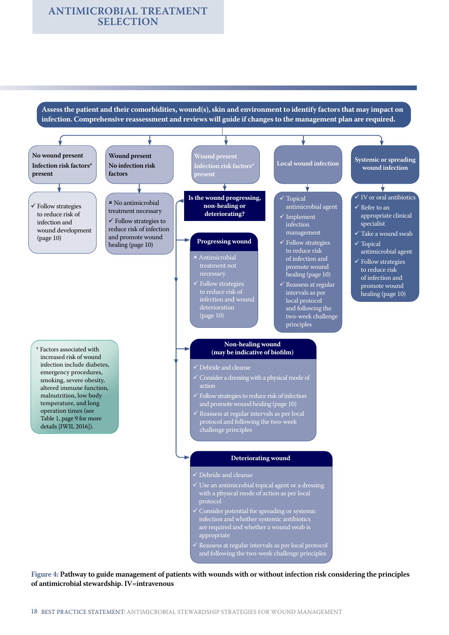#### **ANTIMICROBIAL TREATMENT SELECTION**

**Assess the patient and their comorbidities, wound(s), skin and environment to identify factors that may impact on infection. Comprehensive reassessment and reviews will guide if changes to the management plan are required.**



**Figure 4: Pathway to guide management of patients with wounds with or without infection risk considering the principles of antimicrobial stewardship. IV=intravenous**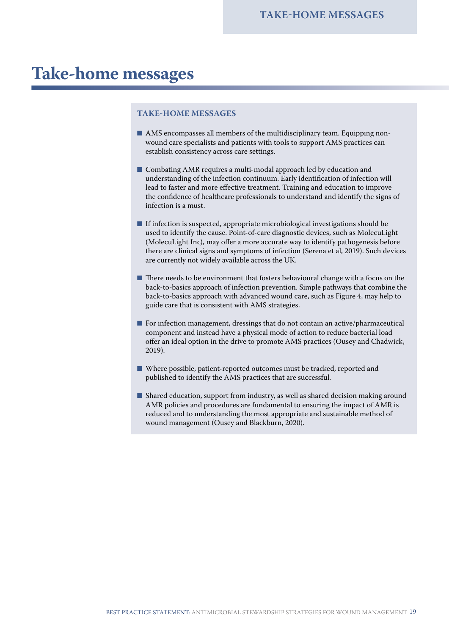## **Take-home messages**

#### **TAKE-HOME MESSAGES**

- $\blacksquare$  AMS encompasses all members of the multidisciplinary team. Equipping nonwound care specialists and patients with tools to support AMS practices can establish consistency across care settings.
- Combating AMR requires a multi-modal approach led by education and understanding of the infection continuum. Early identification of infection will lead to faster and more effective treatment. Training and education to improve the confidence of healthcare professionals to understand and identify the signs of infection is a must.
- If infection is suspected, appropriate microbiological investigations should be used to identify the cause. Point-of-care diagnostic devices, such as MolecuLight (MolecuLight Inc), may offer a more accurate way to identify pathogenesis before there are clinical signs and symptoms of infection (Serena et al, 2019). Such devices are currently not widely available across the UK.
- There needs to be environment that fosters behavioural change with a focus on the back-to-basics approach of infection prevention. Simple pathways that combine the back-to-basics approach with advanced wound care, such as Figure 4, may help to guide care that is consistent with AMS strategies.
- For infection management, dressings that do not contain an active/pharmaceutical component and instead have a physical mode of action to reduce bacterial load offer an ideal option in the drive to promote AMS practices (Ousey and Chadwick, 2019).
- Where possible, patient-reported outcomes must be tracked, reported and published to identify the AMS practices that are successful.
- Shared education, support from industry, as well as shared decision making around AMR policies and procedures are fundamental to ensuring the impact of AMR is reduced and to understanding the most appropriate and sustainable method of wound management (Ousey and Blackburn, 2020).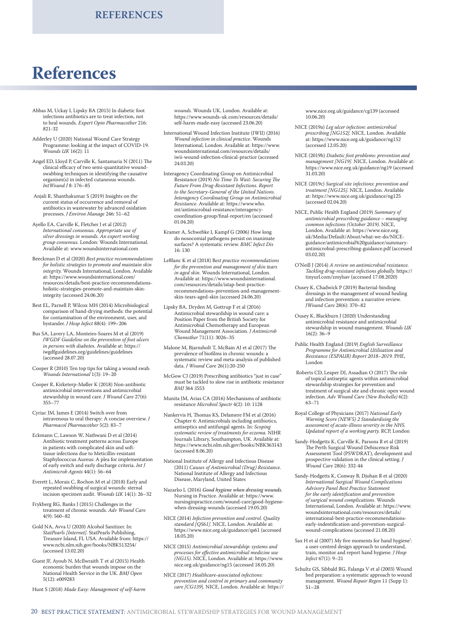## **References**

- Abbas M, Uckay I, Lipsky BA (2015) In diabetic foot infections antibiotics are to treat infection, not to heal wounds. *Expert Opin Pharmacother* 216: 821-32
- Adderley U (2020) National Wound Care Strategy Programme: looking at the impact of COVID-19. *Wounds UK* 16(2): 11
- Angel ED, Lloyd P, Carville K, Santamaria N (2011) The clinical efficacy of two semi-quantitative woundswabbing techniques in identifying the causative organism(s) in infected cutaneous wounds. *IntWound J* 8: 176–85
- Anjali R, Shanthakumar S (2019) Insights on the current status of occurrence and removal of antibiotics in wastewater by advanced oxidation processes. *J Environ Manage* 246: 51–62
- Ayello EA, Carville K, Fletcher J et al (2012) *International consensus. Appropriate use of silver dressings in wounds. An expert working group consensus.* London: Wounds International. Available at: www.woundsinternational.com
- Beeckman D et al (2020) *Best practice recommendations for holistic strategies to promote and maintain skin integrity.* Wounds International, London. Available at: https://www.woundsinternational.com/ resources/details/best-practice-recommendationsholistic-strategies-promote-and-maintain-skinintegrity (accessed 24.06.20)
- Best EL, Parnell P, Wilcox MH (2014) Microbiological comparison of hand-drying methods: the potential for contamination of the environment, user, and bystander. *J Hosp Infect* 88(4): 199–206
- Bus SA, Lavery LA, Monteiro-Soares M et al (2019) *IWGDF Guideline on the prevention of foot ulcers in persons with diabete*s. Available at: https:// iwgdfguidelines.org/guidelines/guidelines (accessed 28.07.20)
- Cooper R (2010) Ten top tips for taking a wound swab. *Wounds International* 1(3): 19–20
- Cooper R, Kirketerp-Møller K (2018) Non-antibiotic antimicrobial interventions and antimicrobial stewardship in wound care. *J Wound Care* 27(6): 355–77
- Cyriac JM, James E (2014) Switch over from intravenous to oral therapy: A concise overview. *J Pharmacol Pharmacother* 5(2): 83–7
- Eckmann C, Lawson W, Nathwani D et al (2014) Antibiotic treatment patterns across Europe in patients with complicated skin and softtissue infections due to Meticillin-resistant Staphylococcus Aureus: A plea for implementation of early switch and early discharge criteria. *Int J Antimicrob Agents* 44(1): 56–64
- Everett L, Morais C, Rochon M et al (2018) Early and repeated swabbing of surgical wounds: sternal incision specimen audit. *Wounds UK* 14(1): 26–32
- Frykberg RG, Banks J (2015) Challenges in the treatment of chronic wounds. *Adv Wound Care* 4(9): 560–82
- Gold NA, Avva U (2020) Alcohol Sanitizer. In: *StatPearls [Internet]*. StatPearls Publishing, Treasure Island, FL USA. Available from: https:// www.ncbi.nlm.nih.gov/books/NBK513254/ (accessed 13.02.20)
- Guest JF, Ayoub N, McIlwraith T et al (2015) Health economic burden that wounds impose on the National Health Service in the UK. *BMJ Open* 5(12): e009283

Hunt S (2018) *Made Easy: Management of self-harm* 

*wounds.* Wounds UK, London. Available at: https://www.wounds-uk.com/resources/details/ self-harm-made-easy (accessed 23.06.20)

- International Wound Infection Institute (IWII) (2016) *Wound infection in clinical practice*. Wounds International, London. Available at: https://www. woundsinternational.com/resources/details/ iwii-wound-infection-clinical-practice (accessed 24.03.20)
- Interagency Coordinating Group on Antimicrobial Resistance (2019) *No Time To Wait: Securing The Future From Drug-Resistant Infections. Report to the Secretary-General of the United Nations. Interagency Coordinating Group on Antimicrobial Resistance.* Available at: https://www.who. int/antimicrobial-resistance/interagencycoordination-group/final-report/en (accessed 01.04.20)
- Kramer A, Schwebke I, Kampf G (2006) How long do nosocomial pathogens persist on inanimate surfaces? A systematic review. *BMC Infect Dis* 16: 130
- LeBlanc K et al (2018) B*est practice recommendations for the prevention and management of skin tears in aged skin*. Wounds International, London. Available at: https://www.woundsinternational. com/resources/details/istap-best-practicerecommendations-prevention-and-managementskin-tears-aged-skin (accessed 24.06.20)
- Lipsky BA, Dryden M, Gottrup F et al (2016) Antimicrobial stewardship in wound care: a Position Paper from the British Society for Antimicrobial Chemotherapy and European Wound Management Association. *J Antimicrob Chemother* 71(11): 3026–35
- Malone M, Bjarnsholt T, McBain AJ et al (2017) The prevalence of biofilms in chronic wounds: a systematic review and meta-analysis of published data. *J Wound Care* 26(1):20-250
- McGow CJ (2019) Prescribing antibiotics "just in case" must be tackled to slow rise in antibiotic resistance *BMJ* 364 :l553
- Munita JM, Arias CA (2016) Mechanisms of antibiotic resistance *Microbiol Spectr* 4(2): 10: 1128
- Nankervis H, Thomas KS, Delamere FM et al (2016) Chapter 6: Antimicrobials including antibiotics, antiseptics and antifungal agents. In: *Scoping systematic review of treatments for eczema.* NIHR Journals Library, Southampton, UK. Available at: https://www.ncbi.nlm.nih.gov/books/NBK363143 (accessed 8.06.20)
- National Institute of Allergy and Infectious Disease (2011) *Causes of Antimicrobial (Drug) Resistance.* National Institute of Allergy and Infectious Disease, Maryland, United States
- Nazarko L (2016) *Good hygiene when dressing wounds.* Nursing in Practice. Available at: https://www. nursinginpractice.com/wound-care/good-hygienewhen-dressing-wounds (accessed 19.05.20)
- NICE (2014) *Infection prevention and control. Quality standard [QS61]*. NICE, London. Available at: https://www.nice.org.uk/guidance/qs61 (accessed 18.05.20)
- NICE (2015) *Antimicrobial stewardship: systems and processes for effective antimicrobial medicine use (NG15)*. NICE, London. Available at: https://www. nice.org.uk/guidance/ng15 (accessed 18.05.20)
- NICE (2017) *Healthcare-associated infections: prevention and control in primary and community care [CG139*]. NICE, London. Available at: https://

www.nice.org.uk/guidance/cg139 (accessed 10.06.20)

- NICE (2019a) *Leg ulcer infection: antimicrobial prescribing [NG152].* NICE, London. Available at: https://www.nice.org.uk/guidance/ng152 (accessed 12.05.20)
- NICE (2019b) *Diabetic foot problems: prevention and management [NG19]*. NICE, London. Available at: https://www.nice.org.uk/guidance/ng19 (accessed 31.03.20)
- NICE (2019c) *Surgical site infections: prevention and treatment [NG125].* NICE, London. Available at: https://www.nice.org.uk/guidance/ng125 (accessed 02.04.20)
- NICE, Public Health England (2019) *Summary of antimicrobial prescribing guidance – managing common infections (October 2019).* NICE, London. Available at: https://www.nice.org. uk/Media/Default/About/what-we-do/NICEguidance/antimicrobial%20guidance/summaryantimicrobial-prescribing-guidance.pdf (accessed 03.02.20)
- O'Neill J (2014) *A review on antimicrobial resistance. Tackling drug-resistant infections globally.* https:// tinyurl.com/zmylsav (accessed 17.08.2020)
- Ousey K, Chadwick P (2019) Bacterial-binding dressings in the management of wound healing and infection prevention: a narrative review. *JWound Care* 28(6): 370–82
- Ousey K, Blackburn J (2020) Understanding antimicrobial resistance and antimicrobial stewardship in wound management. *Wounds UK*  $16(2): 36-9$
- Public Health England (2019) *English Surveillance Programme for Antimicrobial Utilisation and Resistance (ESPAUR) Report 2018–2019.* PHE, London
- Roberts CD, Leaper DJ, Assadian O (2017) The role of topical antiseptic agents within antimicrobial stewardship strategies for prevention and treatment of surgical site and chronic open wound infection. *Adv Wound Care (New Rochelle)* 6(2): 63–71
- Royal College of Physicians (2017) *National Early Warning Score (NEWS) 2 Standardising the assessment of acute-illness severity in the NHS. Updated report of a working party.* RCP, London
- Sandy-Hodgetts K, Carville K, Parsons R et al (2019) The Perth Surgical Wound Dehiscence Risk Assessment Tool (PSWDRAT), development and prospective validation in the clinical setting. *J Wound Care* 28(6): 332-44
- Sandy-Hodgetts K, Conway B, Djohan R et al (2020) *International Surgical Wound Complications Advisory Panel Best Practice Statement for the early identification and prevention of surgical wound complications*. Wounds International, London. Available at: https://www. woundsinternational.com/resources/details/ international-best-practice-recommendationsearly-indentification-and-prevention-surgicalwound-complications (accessed 21.08.20)
- Sax H et al (2007) My five moments for hand hygiene': a user-centred design approach to understand, train, monitor and report hand hygiene. *J Hosp Infect* 67(1): 9–21
- Schultz GS, Sibbald RG, Falanga V et al (2003) Wound bed preparation: a systematic approach to wound management. *Wound Repair Regen* 11 (Supp 1):  $S1 - 28$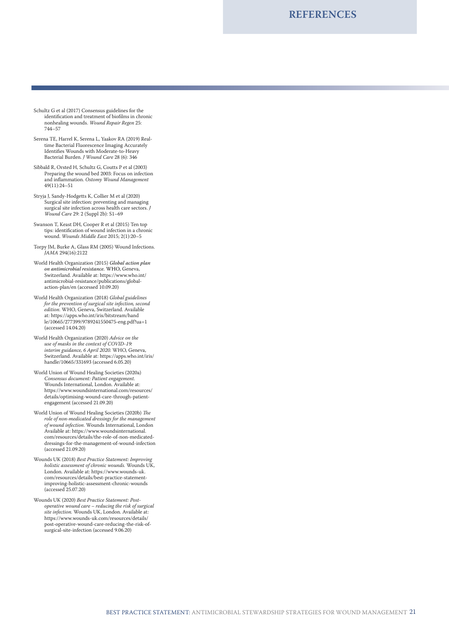**REFERENCES**

- Schultz G et al (2017) Consensus guidelines for the identification and treatment of biofilms in chronic nonhealing wounds. *Wound Repair Regen* 25: 744–57
- Serena TE, Harrel K, Serena L, Yaakov RA (2019) Realtime Bacterial Fluorescence Imaging Accurately Identifies Wounds with Moderate-to-Heavy Bacterial Burden. *J Wound Care* 28 (6): 346
- Sibbald R, Orsted H, Schultz G, Coutts P et al (2003) Preparing the wound bed 2003: Focus on infection and inflammation. *Ostomy Wound Management* 49(11):24–51
- Stryja J, Sandy-Hodgetts K, Collier M et al (2020) Surgical site infection: preventing and managing surgical site infection across health care sectors. *J Wound Care* 29: 2 (Suppl 2b): S1–69
- Swanson T, Keast DH, Cooper R et al (2015) Ten top tips: identification of wound infection in a chronic wound. *Wounds Middle East* 2015; 2(1):20–5
- Torpy JM, Burke A, Glass RM (2005) Wound Infections. *JAMA* 294(16):2122
- World Health Organization (2015) *Global action plan on antimicrobial resistance.* WHO, Geneva, Switzerland. Available at: https://www.who.int/ antimicrobial-resistance/publications/globalaction-plan/en (accessed 10.09.20)
- World Health Organization (2018) *Global guidelines for the prevention of surgical site infection, second edition*. WHO, Geneva, Switzerland. Available at: https://apps.who.int/iris/bitstream/hand le/10665/277399/9789241550475-eng.pdf?ua=1 (accessed 14.04.20)
- World Health Organization (2020) *Advice on the use of masks in the context of COVID-19: interim guidance, 6 April 2020.* WHO, Geneva, Switzerland. Available at: https://apps.who.int/iris/ handle/10665/331693 (accessed 6.05.20)
- World Union of Wound Healing Societies (2020a) *Consensus document: Patient engagement*. Wounds International, London. Available at: https://www.woundsinternational.com/resources/ details/optimising-wound-care-through-patientengagement (accessed 21.09.20)
- World Union of Wound Healing Societies (2020b) *The role of non-medicated dressings for the management of wound infection*. Wounds International, London Available at: https://www.woundsinternational. com/resources/details/the-role-of-non-medicateddressings-for-the-management-of-wound-infection (accessed 21.09.20)
- Wounds UK (2018) *Best Practice Statement: Improving holistic assessment of chronic wounds.* Wounds UK, London. Available at: https://www.wounds-uk. com/resources/details/best-practice-statementimproving-holistic-assessment-chronic-wounds (accessed 25.07.20)
- Wounds UK (2020) *Best Practice Statement: Postoperative wound care – reducing the risk of surgical site infection.* Wounds UK, London. Available at: https://www.wounds-uk.com/resources/details/ post-operative-wound-care-reducing-the-risk-ofsurgical-site-infection (accessed 9.06.20)